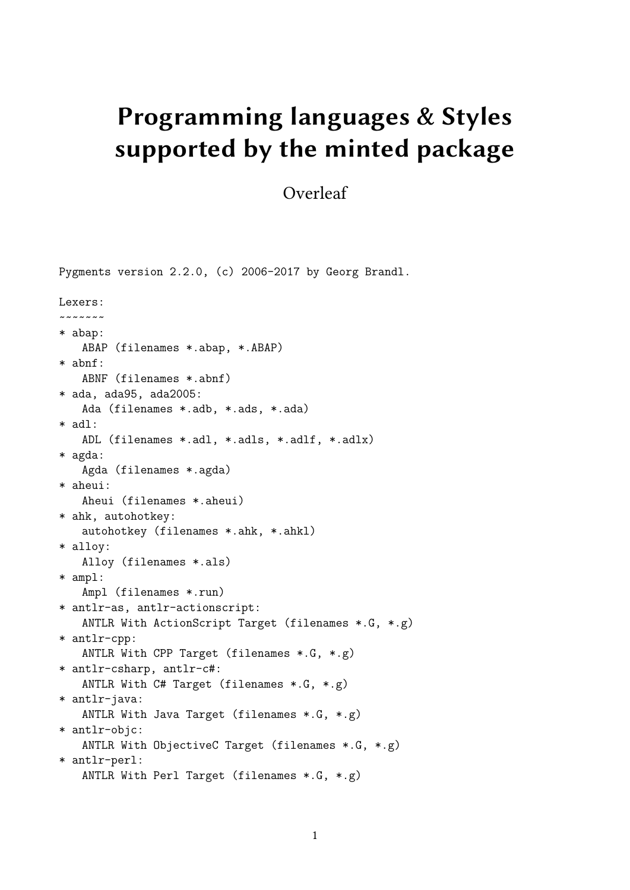## **Programming languages & Styles supported by the minted package**

## Overleaf

Pygments version 2.2.0, (c) 2006-2017 by Georg Brandl. Lexers: ~~~~~~~ \* abap: ABAP (filenames \*.abap, \*.ABAP) \* abnf: ABNF (filenames \*.abnf) \* ada, ada95, ada2005: Ada (filenames \*.adb, \*.ads, \*.ada) \* adl: ADL (filenames \*.adl, \*.adls, \*.adlf, \*.adlx) \* agda: Agda (filenames \*.agda) \* aheui: Aheui (filenames \*.aheui) \* ahk, autohotkey: autohotkey (filenames \*.ahk, \*.ahkl) \* alloy: Alloy (filenames \*.als) \* ampl: Ampl (filenames \*.run) \* antlr-as, antlr-actionscript: ANTLR With ActionScript Target (filenames \*.G, \*.g) \* antlr-cpp: ANTLR With CPP Target (filenames \*.G, \*.g) \* antlr-csharp, antlr-c#: ANTLR With C# Target (filenames \*.G, \*.g) \* antlr-java: ANTLR With Java Target (filenames \*.G, \*.g) \* antlr-objc: ANTLR With ObjectiveC Target (filenames \*.G, \*.g) \* antlr-perl: ANTLR With Perl Target (filenames \*.G, \*.g)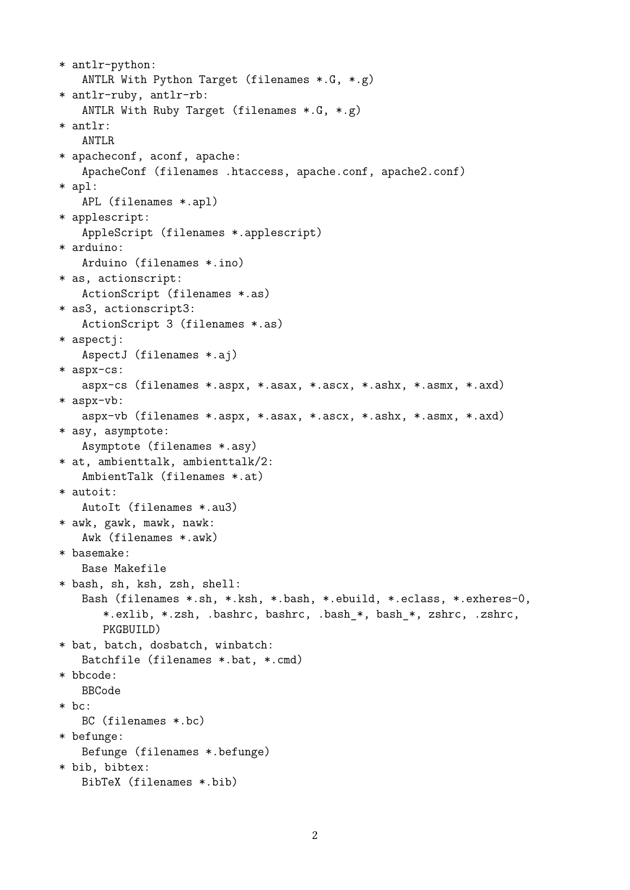```
* antlr-python:
   ANTLR With Python Target (filenames *.G, *.g)
* antlr-ruby, antlr-rb:
   ANTLR With Ruby Target (filenames *.G, *.g)
* antlr:
   ANTLR
* apacheconf, aconf, apache:
   ApacheConf (filenames .htaccess, apache.conf, apache2.conf)
* apl:
   APL (filenames *.apl)
* applescript:
   AppleScript (filenames *.applescript)
* arduino:
   Arduino (filenames *.ino)
* as, actionscript:
   ActionScript (filenames *.as)
* as3, actionscript3:
   ActionScript 3 (filenames *.as)
* aspectj:
   AspectJ (filenames *.aj)
* aspx-cs:
   aspx-cs (filenames *.aspx, *.asax, *.ascx, *.ashx, *.asmx, *.axd)
* aspx-vb:
   aspx-vb (filenames *.aspx, *.asax, *.ascx, *.ashx, *.asmx, *.axd)
* asy, asymptote:
   Asymptote (filenames *.asy)
* at, ambienttalk, ambienttalk/2:
   AmbientTalk (filenames *.at)
* autoit:
   AutoIt (filenames *.au3)
* awk, gawk, mawk, nawk:
   Awk (filenames *.awk)
* basemake:
   Base Makefile
* bash, sh, ksh, zsh, shell:
   Bash (filenames *.sh, *.ksh, *.bash, *.ebuild, *.eclass, *.exheres-0,
      *.exlib, *.zsh, .bashrc, bashrc, .bash_*, bash_*, zshrc, .zshrc,
      PKGBUILD)
* bat, batch, dosbatch, winbatch:
   Batchfile (filenames *.bat, *.cmd)
* bbcode:
   BBCode
* bc:
   BC (filenames *.bc)
* befunge:
   Befunge (filenames *.befunge)
* bib, bibtex:
   BibTeX (filenames *.bib)
```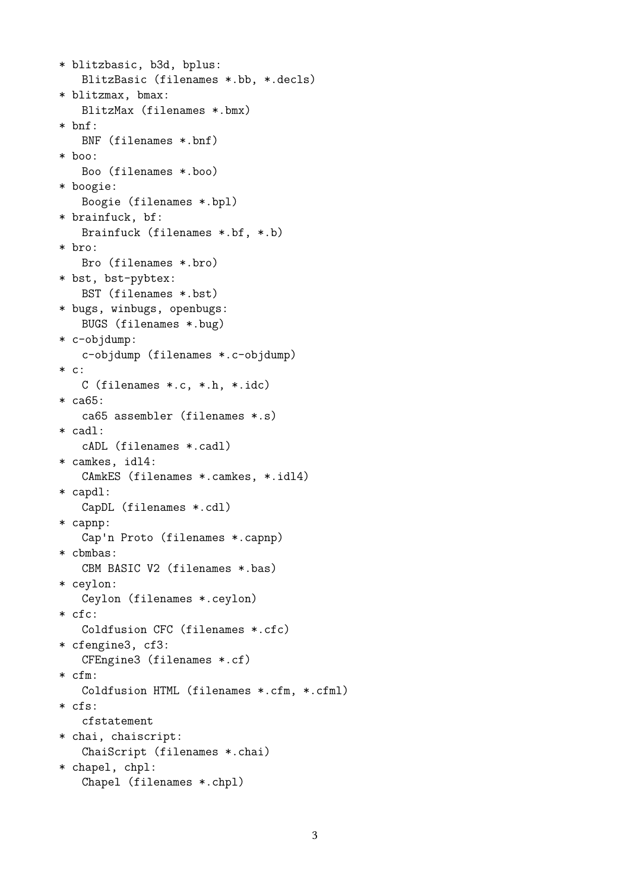```
* blitzbasic, b3d, bplus:
   BlitzBasic (filenames *.bb, *.decls)
* blitzmax, bmax:
   BlitzMax (filenames *.bmx)
* bnf:
   BNF (filenames *.bnf)
* boo:
   Boo (filenames *.boo)
* boogie:
   Boogie (filenames *.bpl)
* brainfuck, bf:
   Brainfuck (filenames *.bf, *.b)
* bro:
   Bro (filenames *.bro)
* bst, bst-pybtex:
   BST (filenames *.bst)
* bugs, winbugs, openbugs:
   BUGS (filenames *.bug)
* c-objdump:
   c-objdump (filenames *.c-objdump)
* c:
   C (filenames *.c, *.h, *.idc)
* ca65:
   ca65 assembler (filenames *.s)
* cadl:
   cADL (filenames *.cadl)
* camkes, idl4:
   CAmkES (filenames *.camkes, *.idl4)
* capdl:
   CapDL (filenames *.cdl)
* capnp:
   Cap'n Proto (filenames *.capnp)
* cbmbas:
   CBM BASIC V2 (filenames *.bas)
* ceylon:
   Ceylon (filenames *.ceylon)
* cfc:
   Coldfusion CFC (filenames *.cfc)
* cfengine3, cf3:
   CFEngine3 (filenames *.cf)
* cfm:
   Coldfusion HTML (filenames *.cfm, *.cfml)
* cfs:
   cfstatement
* chai, chaiscript:
   ChaiScript (filenames *.chai)
* chapel, chpl:
   Chapel (filenames *.chpl)
```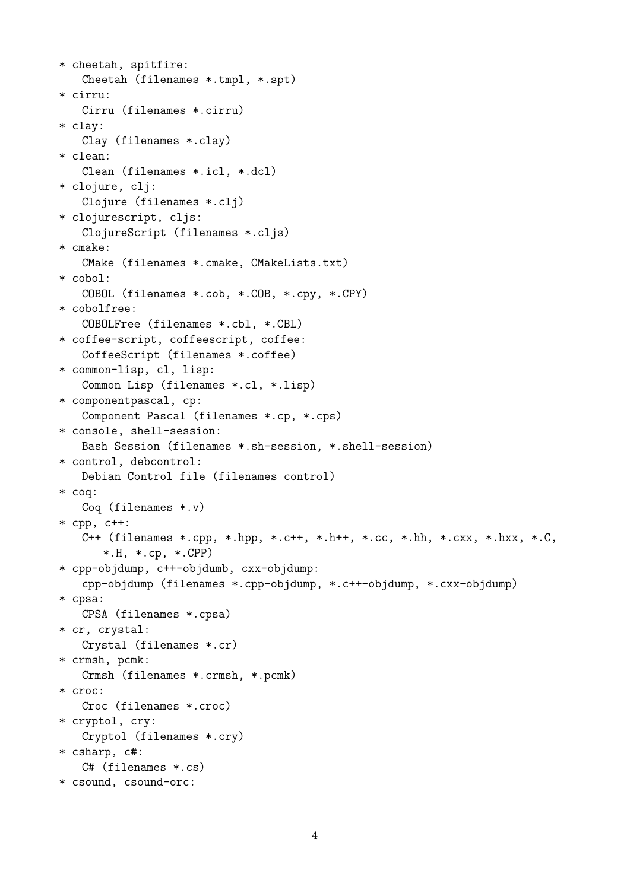```
* cheetah, spitfire:
   Cheetah (filenames *.tmpl, *.spt)
* cirru:
   Cirru (filenames *.cirru)
* clay:
   Clay (filenames *.clay)
* clean:
   Clean (filenames *.icl, *.dcl)
* clojure, clj:
   Clojure (filenames *.clj)
* clojurescript, cljs:
   ClojureScript (filenames *.cljs)
* cmake:
   CMake (filenames *.cmake, CMakeLists.txt)
* cobol:
   COBOL (filenames *.cob, *.COB, *.cpy, *.CPY)
* cobolfree:
   COBOLFree (filenames *.cbl, *.CBL)
* coffee-script, coffeescript, coffee:
   CoffeeScript (filenames *.coffee)
* common-lisp, cl, lisp:
   Common Lisp (filenames *.cl, *.lisp)
* componentpascal, cp:
   Component Pascal (filenames *.cp, *.cps)
* console, shell-session:
   Bash Session (filenames *.sh-session, *.shell-session)
* control, debcontrol:
   Debian Control file (filenames control)
* coq:
   Coq (filenames *.v)
* cpp, c++:
   C++ (filenames *.cpp, *hpp, *.ct+, *.h++, *.cc, *.hh, *.cxx, *.hxx, *.C,*.H, *.cp, *.CPP)
* cpp-objdump, c++-objdumb, cxx-objdump:
   cpp-objdump (filenames *.cpp-objdump, *.c++-objdump, *.cxx-objdump)
* cpsa:
   CPSA (filenames *.cpsa)
* cr, crystal:
   Crystal (filenames *.cr)
* crmsh, pcmk:
   Crmsh (filenames *.crmsh, *.pcmk)
* croc:
   Croc (filenames *.croc)
* cryptol, cry:
   Cryptol (filenames *.cry)
* csharp, c#:
   C# (filenames *.cs)
* csound, csound-orc:
```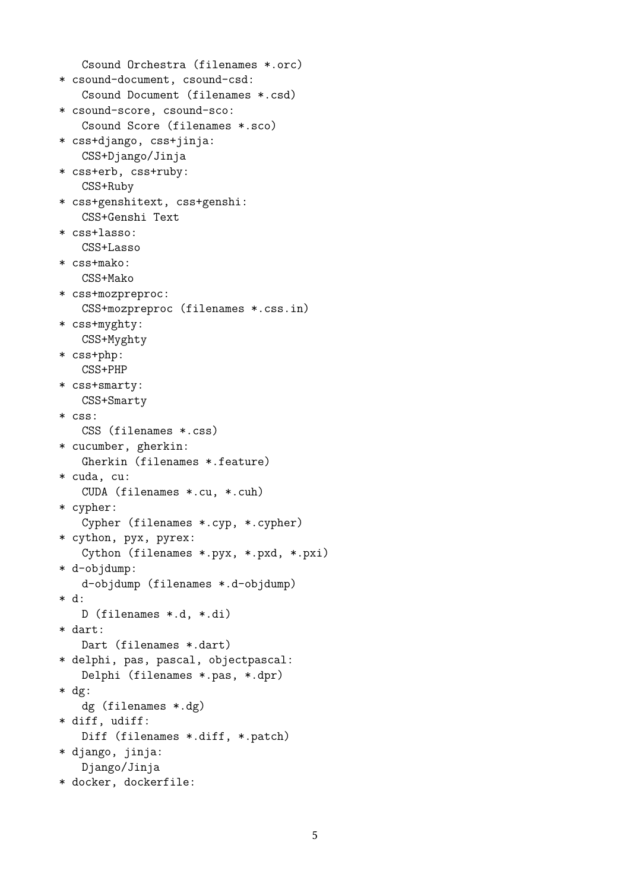```
Csound Orchestra (filenames *.orc)
* csound-document, csound-csd:
   Csound Document (filenames *.csd)
* csound-score, csound-sco:
   Csound Score (filenames *.sco)
* css+django, css+jinja:
   CSS+Django/Jinja
* css+erb, css+ruby:
   CSS+Ruby
* css+genshitext, css+genshi:
   CSS+Genshi Text
* css+lasso:
   CSS+Lasso
* css+mako:
   CSS+Mako
* css+mozpreproc:
   CSS+mozpreproc (filenames *.css.in)
* css+myghty:
   CSS+Myghty
* css+php:
   CSS+PHP
* css+smarty:
   CSS+Smarty
* css:
   CSS (filenames *.css)
* cucumber, gherkin:
   Gherkin (filenames *.feature)
* cuda, cu:
   CUDA (filenames *.cu, *.cuh)
* cypher:
   Cypher (filenames *.cyp, *.cypher)
* cython, pyx, pyrex:
   Cython (filenames *.pyx, *.pxd, *.pxi)
* d-objdump:
   d-objdump (filenames *.d-objdump)
* d:
   D (filenames *.d, *.di)
* dart:
   Dart (filenames *.dart)
* delphi, pas, pascal, objectpascal:
   Delphi (filenames *.pas, *.dpr)
* dg:
   dg (filenames *.dg)
* diff, udiff:
   Diff (filenames *.diff, *.patch)
* django, jinja:
   Django/Jinja
* docker, dockerfile:
```

```
5
```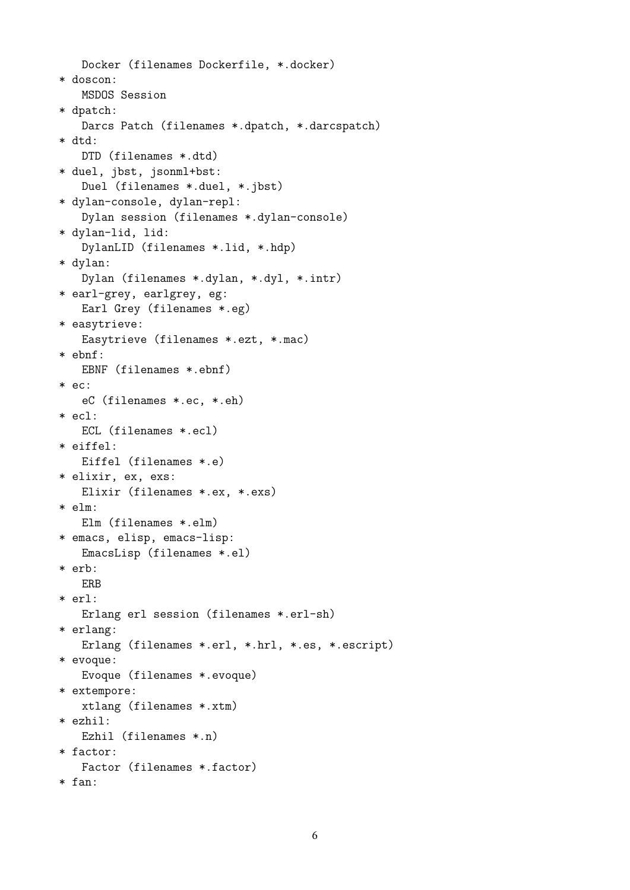```
Docker (filenames Dockerfile, *.docker)
* doscon:
   MSDOS Session
* dpatch:
   Darcs Patch (filenames *.dpatch, *.darcspatch)
* dtd:
   DTD (filenames *.dtd)
* duel, jbst, jsonml+bst:
   Duel (filenames *.duel, *.jbst)
* dylan-console, dylan-repl:
   Dylan session (filenames *.dylan-console)
* dylan-lid, lid:
   DylanLID (filenames *.lid, *.hdp)
* dylan:
   Dylan (filenames *.dylan, *.dyl, *.intr)
* earl-grey, earlgrey, eg:
   Earl Grey (filenames *.eg)
* easytrieve:
   Easytrieve (filenames *.ezt, *.mac)
* ebnf:
   EBNF (filenames *.ebnf)
* ec:
   eC (filenames *.ec, *.eh)
* ecl:
   ECL (filenames *.ecl)
* eiffel:
   Eiffel (filenames *.e)
* elixir, ex, exs:
   Elixir (filenames *.ex, *.exs)
* elm:
   Elm (filenames *.elm)
* emacs, elisp, emacs-lisp:
   EmacsLisp (filenames *.el)
* erb:
   ERB
* erl:
   Erlang erl session (filenames *.erl-sh)
* erlang:
   Erlang (filenames *.erl, *.hrl, *.es, *.escript)
* evoque:
   Evoque (filenames *.evoque)
* extempore:
   xtlang (filenames *.xtm)
* ezhil:
   Ezhil (filenames *.n)
* factor:
   Factor (filenames *.factor)
* fan:
```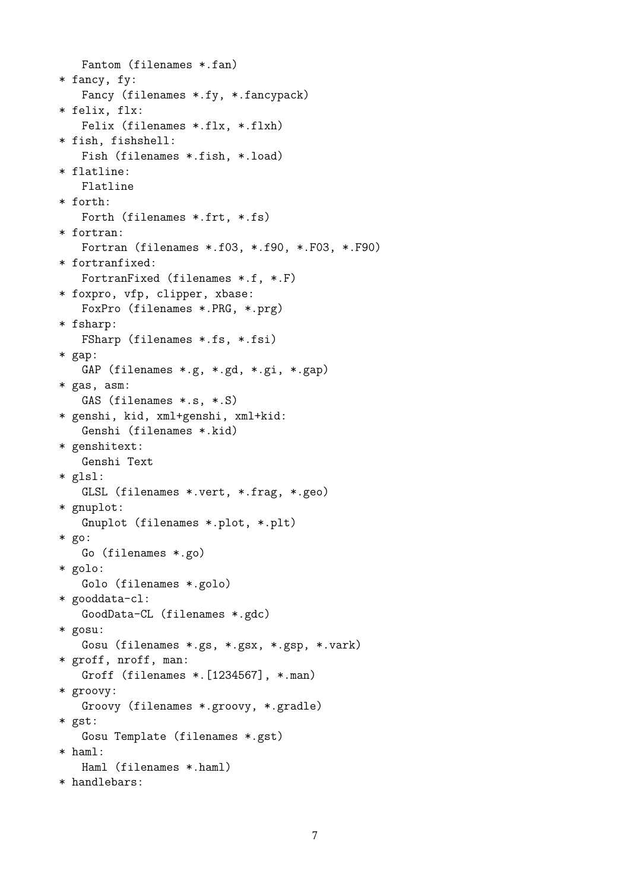Fantom (filenames \*.fan) \* fancy, fy: Fancy (filenames \*.fy, \*.fancypack) \* felix, flx: Felix (filenames \*.flx, \*.flxh) \* fish, fishshell: Fish (filenames \*.fish, \*.load) \* flatline: Flatline \* forth: Forth (filenames \*.frt, \*.fs) \* fortran: Fortran (filenames \*.f03, \*.f90, \*.F03, \*.F90) \* fortranfixed: FortranFixed (filenames \*.f, \*.F) \* foxpro, vfp, clipper, xbase: FoxPro (filenames \*.PRG, \*.prg) \* fsharp: FSharp (filenames \*.fs, \*.fsi) \* gap: GAP (filenames \*.g, \*.gd, \*.gi, \*.gap) \* gas, asm: GAS (filenames \*.s, \*.S) \* genshi, kid, xml+genshi, xml+kid: Genshi (filenames \*.kid) \* genshitext: Genshi Text \* glsl: GLSL (filenames \*.vert, \*.frag, \*.geo) \* gnuplot: Gnuplot (filenames \*.plot, \*.plt) \* go: Go (filenames \*.go) \* golo: Golo (filenames \*.golo) \* gooddata-cl: GoodData-CL (filenames \*.gdc) \* gosu: Gosu (filenames \*.gs, \*.gsx, \*.gsp, \*.vark) \* groff, nroff, man: Groff (filenames \*.[1234567], \*.man) \* groovy: Groovy (filenames \*.groovy, \*.gradle) \* gst: Gosu Template (filenames \*.gst) \* haml: Haml (filenames \*.haml)

\* handlebars: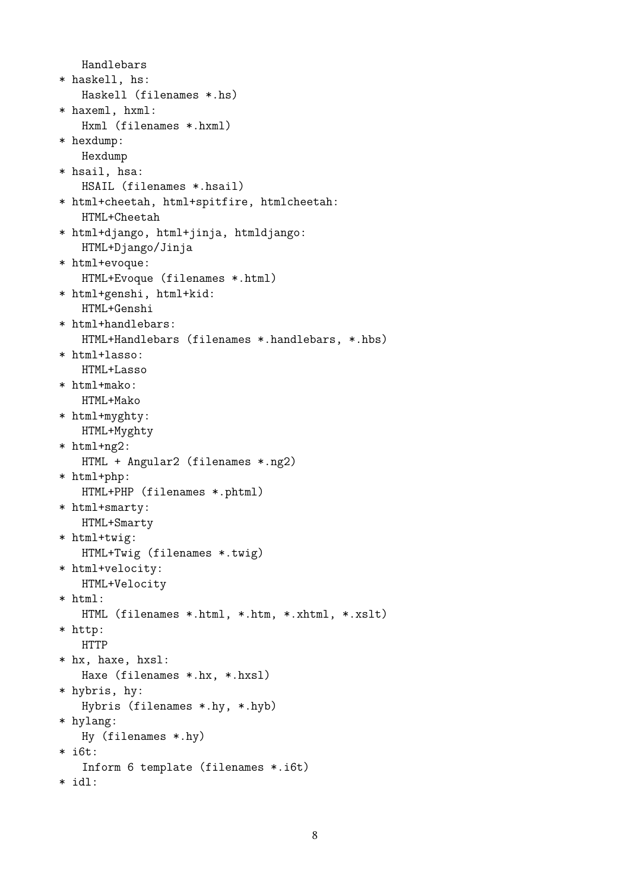```
Handlebars
* haskell, hs:
   Haskell (filenames *.hs)
* haxeml, hxml:
   Hxml (filenames *.hxml)
* hexdump:
   Hexdump
* hsail, hsa:
   HSAIL (filenames *.hsail)
* html+cheetah, html+spitfire, htmlcheetah:
   HTML+Cheetah
* html+django, html+jinja, htmldjango:
   HTML+Django/Jinja
* html+evoque:
   HTML+Evoque (filenames *.html)
* html+genshi, html+kid:
   HTML+Genshi
* html+handlebars:
   HTML+Handlebars (filenames *.handlebars, *.hbs)
* html+lasso:
   HTML+Lasso
* html+mako:
   HTML+Mako
* html+myghty:
   HTML+Myghty
* html+ng2:
   HTML + Angular2 (filenames *.ng2)
* html+php:
   HTML+PHP (filenames *.phtml)
* html+smarty:
   HTML+Smarty
* html+twig:
   HTML+Twig (filenames *.twig)
* html+velocity:
   HTML+Velocity
* html:
   HTML (filenames *.html, *.htm, *.xhtml, *.xslt)
* http:
   HTTP
* hx, haxe, hxsl:
   Haxe (filenames *.hx, *.hxsl)
* hybris, hy:
   Hybris (filenames *.hy, *.hyb)
* hylang:
   Hy (filenames *.hy)
* i6t:
   Inform 6 template (filenames *.i6t)
* idl:
```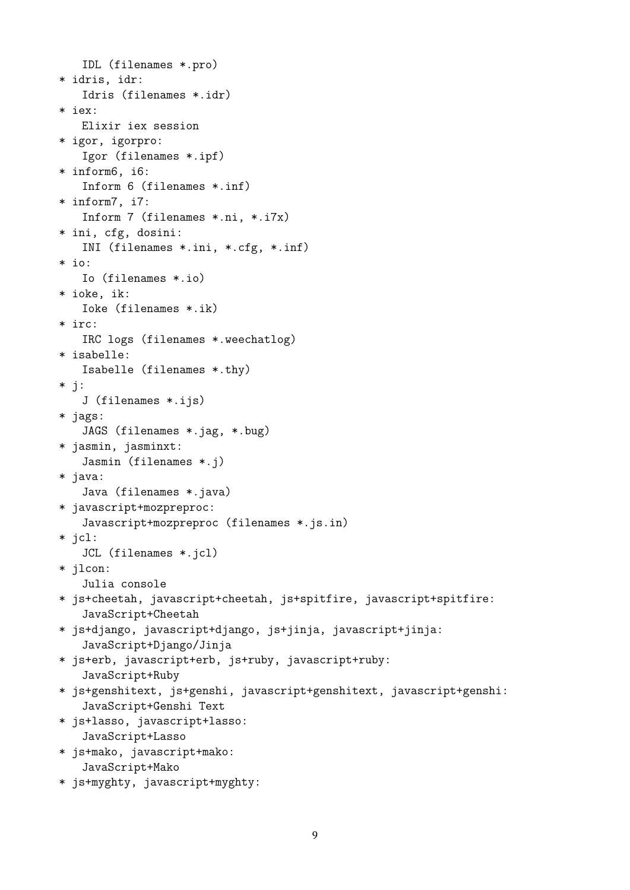```
IDL (filenames *.pro)
* idris, idr:
   Idris (filenames *.idr)
* iex:
   Elixir iex session
* igor, igorpro:
   Igor (filenames *.ipf)
* inform6, i6:
   Inform 6 (filenames *.inf)
* inform7, i7:
   Inform 7 (filenames *.ni, *.i7x)
* ini, cfg, dosini:
   INI (filenames *.ini, *.cfg, *.inf)
* io:
   Io (filenames *.io)
* ioke, ik:
   Ioke (filenames *.ik)
* irc:
   IRC logs (filenames *.weechatlog)
* isabelle:
   Isabelle (filenames *.thy)
* j:
   J (filenames *.ijs)
* jags:
   JAGS (filenames *.jag, *.bug)
* jasmin, jasminxt:
   Jasmin (filenames *.j)
* java:
   Java (filenames *.java)
* javascript+mozpreproc:
   Javascript+mozpreproc (filenames *.js.in)
* jcl:
   JCL (filenames *.jcl)
* jlcon:
   Julia console
* js+cheetah, javascript+cheetah, js+spitfire, javascript+spitfire:
   JavaScript+Cheetah
* js+django, javascript+django, js+jinja, javascript+jinja:
   JavaScript+Django/Jinja
* js+erb, javascript+erb, js+ruby, javascript+ruby:
   JavaScript+Ruby
* js+genshitext, js+genshi, javascript+genshitext, javascript+genshi:
   JavaScript+Genshi Text
* js+lasso, javascript+lasso:
   JavaScript+Lasso
* js+mako, javascript+mako:
   JavaScript+Mako
```
\* js+myghty, javascript+myghty: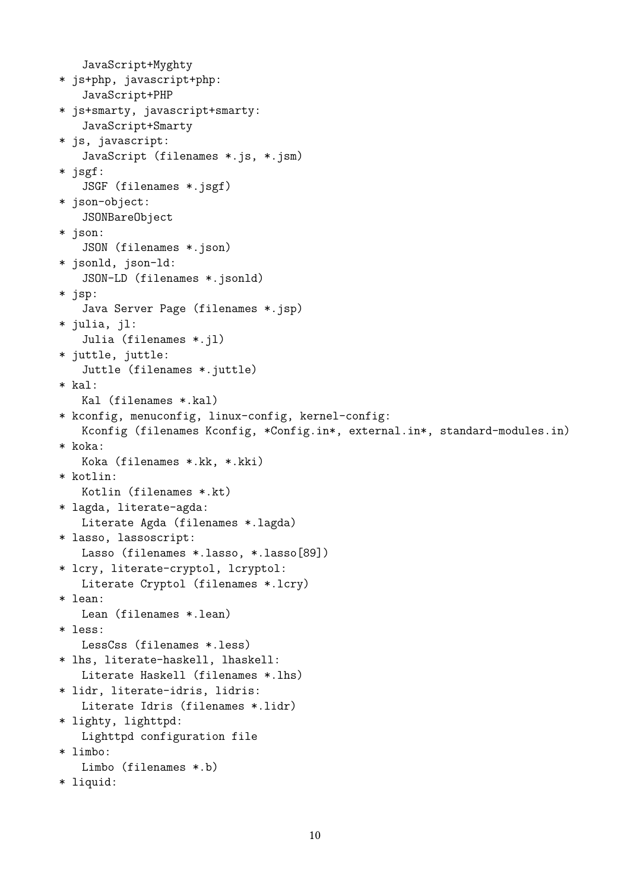JavaScript+Myghty \* js+php, javascript+php: JavaScript+PHP \* js+smarty, javascript+smarty: JavaScript+Smarty \* js, javascript: JavaScript (filenames \*.js, \*.jsm) \* jsgf: JSGF (filenames \*.jsgf) \* json-object: JSONBareObject \* json: JSON (filenames \*.json) \* jsonld, json-ld: JSON-LD (filenames \*.jsonld) \* jsp: Java Server Page (filenames \*.jsp) \* julia, jl: Julia (filenames \*.jl) \* juttle, juttle: Juttle (filenames \*.juttle) \* kal: Kal (filenames \*.kal) \* kconfig, menuconfig, linux-config, kernel-config: Kconfig (filenames Kconfig, \*Config.in\*, external.in\*, standard-modules.in) \* koka: Koka (filenames \*.kk, \*.kki) \* kotlin: Kotlin (filenames \*.kt) \* lagda, literate-agda: Literate Agda (filenames \*.lagda) \* lasso, lassoscript: Lasso (filenames \*.lasso, \*.lasso[89]) \* lcry, literate-cryptol, lcryptol: Literate Cryptol (filenames \*.lcry) \* lean: Lean (filenames \*.lean) \* less: LessCss (filenames \*.less) \* lhs, literate-haskell, lhaskell: Literate Haskell (filenames \*.lhs) \* lidr, literate-idris, lidris: Literate Idris (filenames \*.lidr) \* lighty, lighttpd: Lighttpd configuration file \* limbo: Limbo (filenames \*.b) \* liquid: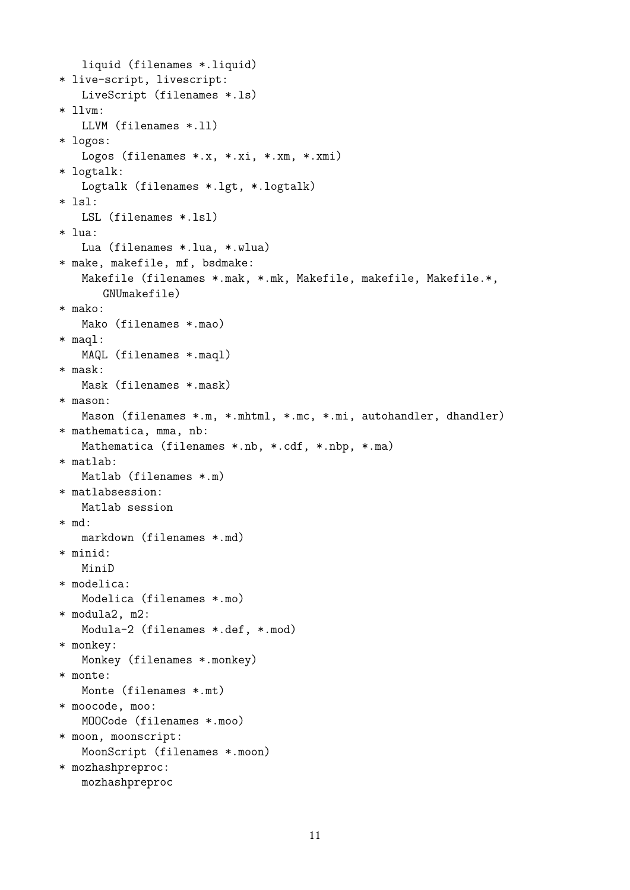```
liquid (filenames *.liquid)
* live-script, livescript:
   LiveScript (filenames *.ls)
* llvm:
   LLVM (filenames *.ll)
* logos:
   Logos (filenames *.x, *.xi, *.xm, *.xmi)
* logtalk:
   Logtalk (filenames *.lgt, *.logtalk)
* lsl:
   LSL (filenames *.lsl)
* lua:
   Lua (filenames *.lua, *.wlua)
* make, makefile, mf, bsdmake:
   Makefile (filenames *.mak, *.mk, Makefile, makefile, Makefile.*,
      GNUmakefile)
* mako:
   Mako (filenames *.mao)
* maql:
   MAQL (filenames *.maql)
* mask:
   Mask (filenames *.mask)
* mason:
   Mason (filenames *.m, *.mhtml, *.mc, *.mi, autohandler, dhandler)
* mathematica, mma, nb:
   Mathematica (filenames *.nb, *.cdf, *.nbp, *.ma)
* matlab:
   Matlab (filenames *.m)
* matlabsession:
   Matlab session
* md:
   markdown (filenames *.md)
* minid:
   MiniD
* modelica:
   Modelica (filenames *.mo)
* modula2, m2:
   Modula-2 (filenames *.def, *.mod)
* monkey:
   Monkey (filenames *.monkey)
* monte:
   Monte (filenames *.mt)
* moocode, moo:
   MOOCode (filenames *.moo)
* moon, moonscript:
   MoonScript (filenames *.moon)
* mozhashpreproc:
   mozhashpreproc
```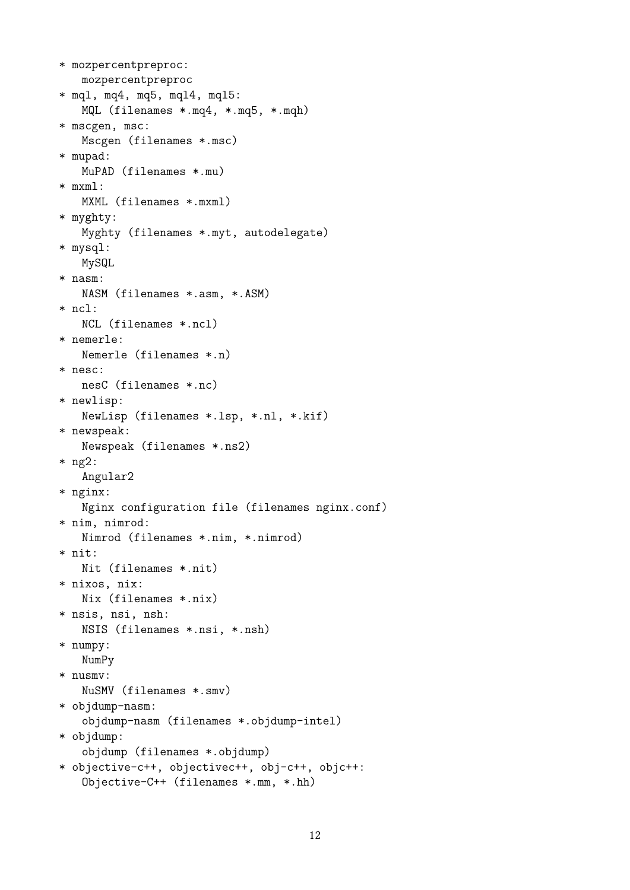```
* mozpercentpreproc:
   mozpercentpreproc
* mql, mq4, mq5, mql4, mql5:
   MQL (filenames *.mq4, *.mq5, *.mqh)
* mscgen, msc:
   Mscgen (filenames *.msc)
* mupad:
   MuPAD (filenames *.mu)
* mxml:
   MXML (filenames *.mxml)
* myghty:
   Myghty (filenames *.myt, autodelegate)
* mysql:
   MySQL
* nasm:
   NASM (filenames *.asm, *.ASM)
* ncl:
   NCL (filenames *.ncl)
* nemerle:
   Nemerle (filenames *.n)
* nesc:
   nesC (filenames *.nc)
* newlisp:
   NewLisp (filenames *.lsp, *.nl, *.kif)
* newspeak:
   Newspeak (filenames *.ns2)
* ng2:
   Angular2
* nginx:
   Nginx configuration file (filenames nginx.conf)
* nim, nimrod:
   Nimrod (filenames *.nim, *.nimrod)
* nit:
   Nit (filenames *.nit)
* nixos, nix:
   Nix (filenames *.nix)
* nsis, nsi, nsh:
   NSIS (filenames *.nsi, *.nsh)
* numpy:
   NumPy
* nusmv:
   NuSMV (filenames *.smv)
* objdump-nasm:
   objdump-nasm (filenames *.objdump-intel)
* objdump:
   objdump (filenames *.objdump)
* objective-c++, objectivec++, obj-c++, objc++:
   Objective-C++ (filenames *.mm, *.hh)
```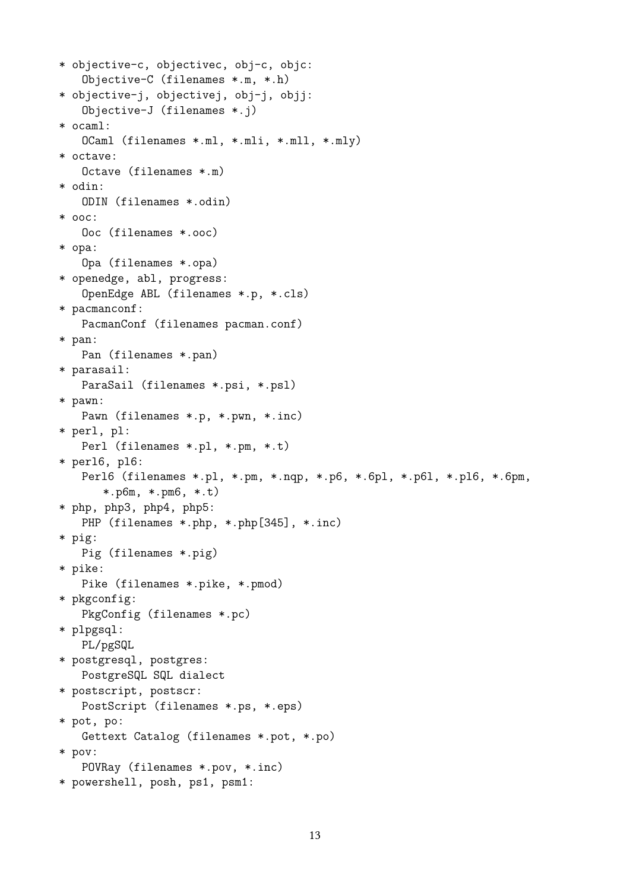```
* objective-c, objectivec, obj-c, objc:
   Objective-C (filenames *.m, *.h)
* objective-j, objectivej, obj-j, objj:
   Objective-J (filenames *.j)
* ocaml:
   OCaml (filenames *.ml, *.mli, *.mll, *.mly)
* octave:
   Octave (filenames *.m)
* odin:
   ODIN (filenames *.odin)
* ooc:
   Ooc (filenames *.ooc)
* opa:
   Opa (filenames *.opa)
* openedge, abl, progress:
   OpenEdge ABL (filenames *.p, *.cls)
* pacmanconf:
   PacmanConf (filenames pacman.conf)
* pan:
   Pan (filenames *.pan)
* parasail:
   ParaSail (filenames *.psi, *.psl)
* pawn:
   Pawn (filenames *.p, *.pwn, *.inc)
* perl, pl:
   Perl (filenames *.pl, *.pm, *.t)
* perl6, pl6:
   Perl6 (filenames *.pl, *.pm, *.nqp, *.p6, *.6pl, *.p6l, *.pl6, *.6pm,
      *.p6m, *.pm6, *.t)
* php, php3, php4, php5:
   PHP (filenames *.php, *.php[345], *.inc)
* pig:
   Pig (filenames *.pig)
* pike:
   Pike (filenames *.pike, *.pmod)
* pkgconfig:
   PkgConfig (filenames *.pc)
* plpgsql:
   PL/pgSQL
* postgresql, postgres:
   PostgreSQL SQL dialect
* postscript, postscr:
   PostScript (filenames *.ps, *.eps)
* pot, po:
   Gettext Catalog (filenames *.pot, *.po)
* pov:
   POVRay (filenames *.pov, *.inc)
* powershell, posh, ps1, psm1:
```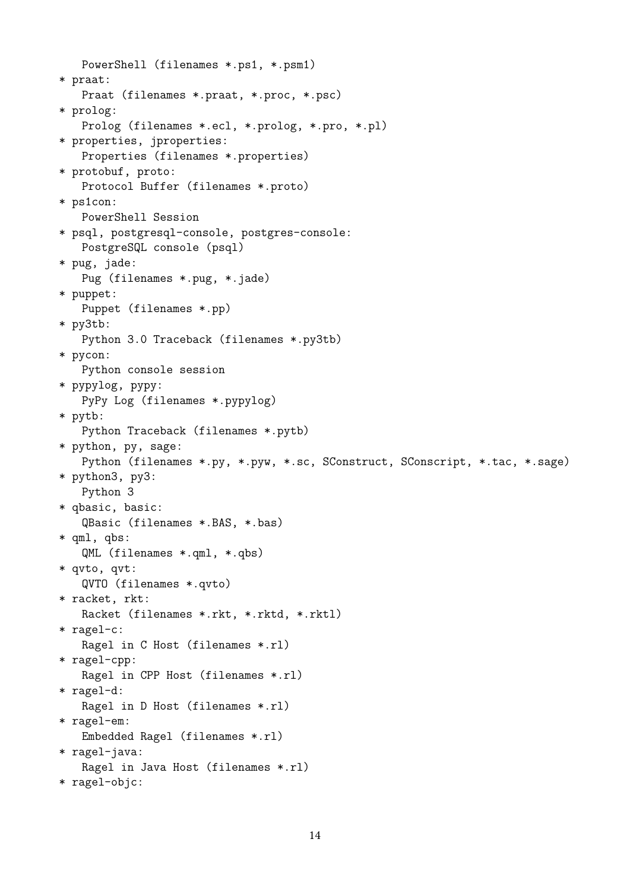PowerShell (filenames \*.ps1, \*.psm1) \* praat: Praat (filenames \*.praat, \*.proc, \*.psc) \* prolog: Prolog (filenames \*.ecl, \*.prolog, \*.pro, \*.pl) \* properties, jproperties: Properties (filenames \*.properties) \* protobuf, proto: Protocol Buffer (filenames \*.proto) \* ps1con: PowerShell Session \* psql, postgresql-console, postgres-console: PostgreSQL console (psql) \* pug, jade: Pug (filenames \*.pug, \*.jade) \* puppet: Puppet (filenames \*.pp) \* py3tb: Python 3.0 Traceback (filenames \*.py3tb) \* pycon: Python console session \* pypylog, pypy: PyPy Log (filenames \*.pypylog) \* pytb: Python Traceback (filenames \*.pytb) \* python, py, sage: Python (filenames \*.py, \*.pyw, \*.sc, SConstruct, SConscript, \*.tac, \*.sage) \* python3, py3: Python 3 \* qbasic, basic: QBasic (filenames \*.BAS, \*.bas) \* qml, qbs: QML (filenames \*.qml, \*.qbs) \* qvto, qvt: QVTO (filenames \*.qvto) \* racket, rkt: Racket (filenames \*.rkt, \*.rktd, \*.rktl) \* ragel-c: Ragel in C Host (filenames \*.rl) \* ragel-cpp: Ragel in CPP Host (filenames \*.rl) \* ragel-d: Ragel in D Host (filenames \*.rl) \* ragel-em: Embedded Ragel (filenames \*.rl) \* ragel-java: Ragel in Java Host (filenames \*.rl) \* ragel-objc: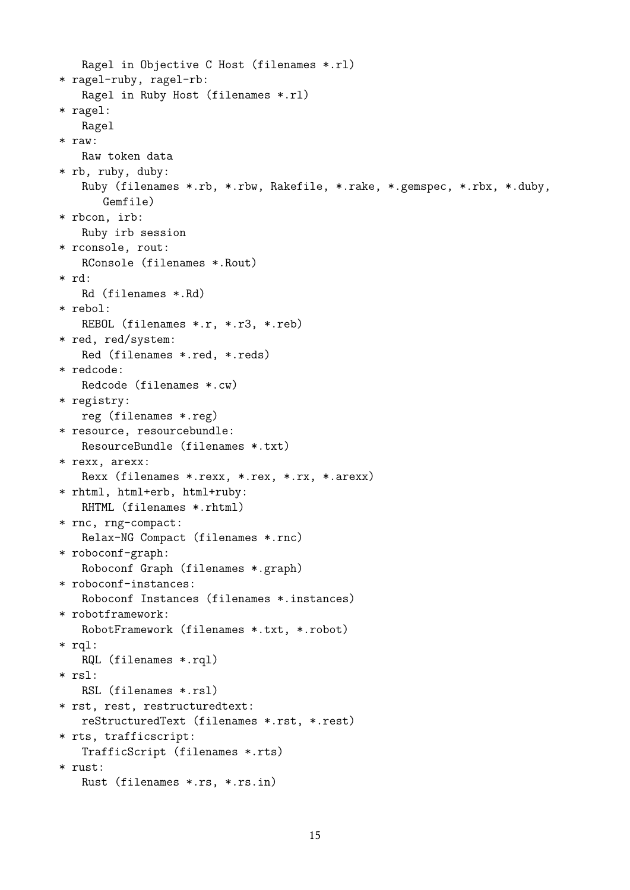```
Ragel in Objective C Host (filenames *.rl)
* ragel-ruby, ragel-rb:
   Ragel in Ruby Host (filenames *.rl)
* ragel:
   Ragel
* raw:
   Raw token data
* rb, ruby, duby:
   Ruby (filenames *.rb, *.rbw, Rakefile, *.rake, *.gemspec, *.rbx, *.duby,
      Gemfile)
* rbcon, irb:
   Ruby irb session
* rconsole, rout:
   RConsole (filenames *.Rout)
* rd:
   Rd (filenames *.Rd)
* rebol:
   REBOL (filenames *.r, *.r3, *.reb)
* red, red/system:
   Red (filenames *.red, *.reds)
* redcode:
   Redcode (filenames *.cw)
* registry:
   reg (filenames *.reg)
* resource, resourcebundle:
   ResourceBundle (filenames *.txt)
* rexx, arexx:
   Rexx (filenames *.rexx, *.rex, *.rx, *.arexx)
* rhtml, html+erb, html+ruby:
   RHTML (filenames *.rhtml)
* rnc, rng-compact:
   Relax-NG Compact (filenames *.rnc)
* roboconf-graph:
   Roboconf Graph (filenames *.graph)
* roboconf-instances:
   Roboconf Instances (filenames *.instances)
* robotframework:
   RobotFramework (filenames *.txt, *.robot)
* rql:
   RQL (filenames *.rql)
* rsl:
   RSL (filenames *.rsl)
* rst, rest, restructuredtext:
   reStructuredText (filenames *.rst, *.rest)
* rts, trafficscript:
   TrafficScript (filenames *.rts)
* rust:
   Rust (filenames *.rs, *.rs.in)
```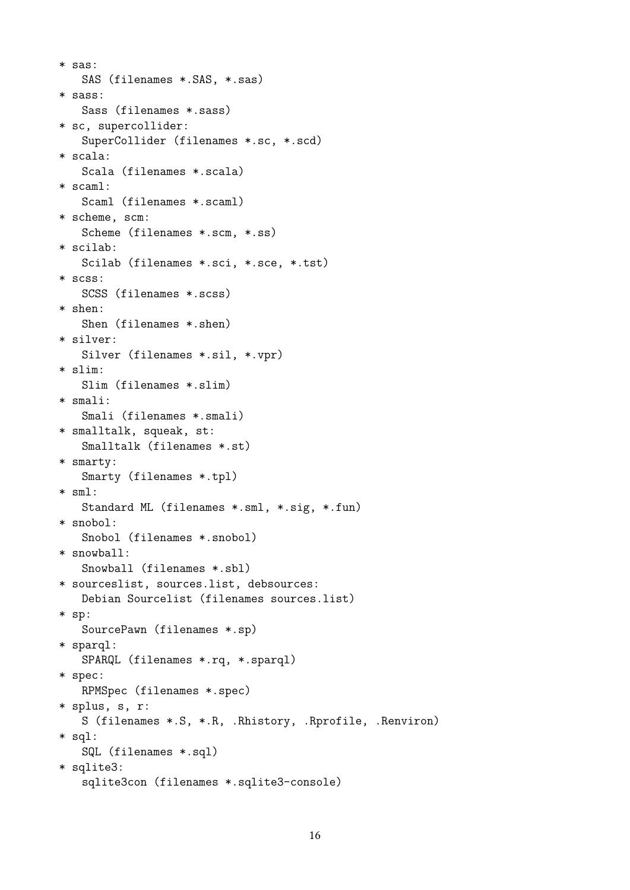```
* sas:
   SAS (filenames *.SAS, *.sas)
* sass:
   Sass (filenames *.sass)
* sc, supercollider:
   SuperCollider (filenames *.sc, *.scd)
* scala:
   Scala (filenames *.scala)
* scaml:
   Scaml (filenames *.scaml)
* scheme, scm:
   Scheme (filenames *.scm, *.ss)
* scilab:
   Scilab (filenames *.sci, *.sce, *.tst)
* scss:
   SCSS (filenames *.scss)
* shen:
   Shen (filenames *.shen)
* silver:
   Silver (filenames *.sil, *.vpr)
* slim:
   Slim (filenames *.slim)
* smali:
   Smali (filenames *.smali)
* smalltalk, squeak, st:
   Smalltalk (filenames *.st)
* smarty:
   Smarty (filenames *.tpl)
* sml:
   Standard ML (filenames *.sml, *.sig, *.fun)
* snobol:
   Snobol (filenames *.snobol)
* snowball:
   Snowball (filenames *.sbl)
* sourceslist, sources.list, debsources:
   Debian Sourcelist (filenames sources.list)
* sp:
   SourcePawn (filenames *.sp)
* sparql:
   SPARQL (filenames *.rq, *.sparql)
* spec:
   RPMSpec (filenames *.spec)
* splus, s, r:
   S (filenames *.S, *.R, .Rhistory, .Rprofile, .Renviron)
* sql:
   SQL (filenames *.sql)
* sqlite3:
   sqlite3con (filenames *.sqlite3-console)
```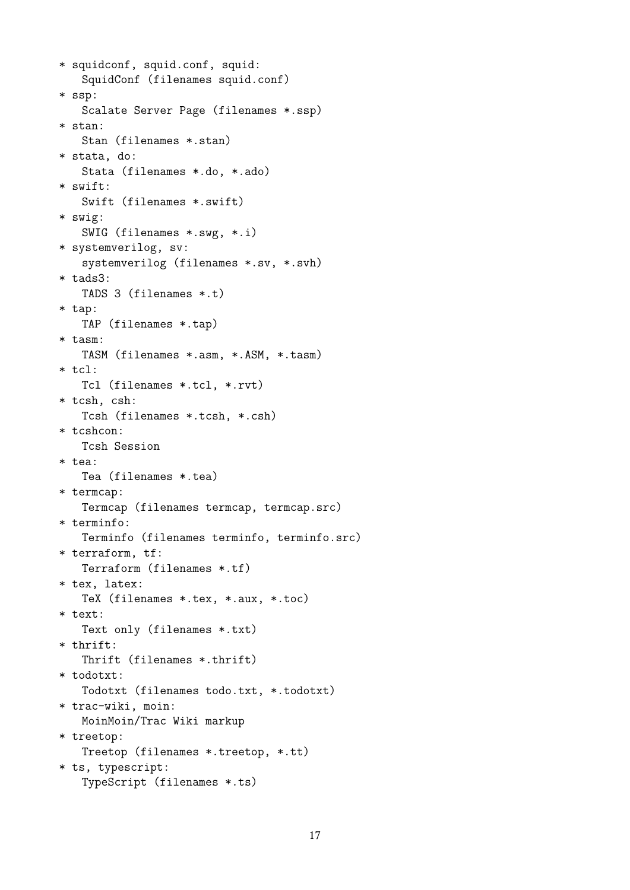```
* squidconf, squid.conf, squid:
   SquidConf (filenames squid.conf)
* ssp:
   Scalate Server Page (filenames *.ssp)
* stan:
   Stan (filenames *.stan)
* stata, do:
   Stata (filenames *.do, *.ado)
* swift:
   Swift (filenames *.swift)
* swig:
   SWIG (filenames *.swg, *.i)
* systemverilog, sv:
   systemverilog (filenames *.sv, *.svh)
* tads3:
   TADS 3 (filenames *.t)
* tap:
   TAP (filenames *.tap)
* tasm:
   TASM (filenames *.asm, *.ASM, *.tasm)
* tcl:
   Tcl (filenames *.tcl, *.rvt)
* tcsh, csh:
   Tcsh (filenames *.tcsh, *.csh)
* tcshcon:
   Tcsh Session
* tea:
   Tea (filenames *.tea)
* termcap:
   Termcap (filenames termcap, termcap.src)
* terminfo:
   Terminfo (filenames terminfo, terminfo.src)
* terraform, tf:
   Terraform (filenames *.tf)
* tex, latex:
   TeX (filenames *.tex, *.aux, *.toc)
* text:
   Text only (filenames *.txt)
* thrift:
   Thrift (filenames *.thrift)
* todotxt:
   Todotxt (filenames todo.txt, *.todotxt)
* trac-wiki, moin:
   MoinMoin/Trac Wiki markup
* treetop:
   Treetop (filenames *.treetop, *.tt)
* ts, typescript:
   TypeScript (filenames *.ts)
```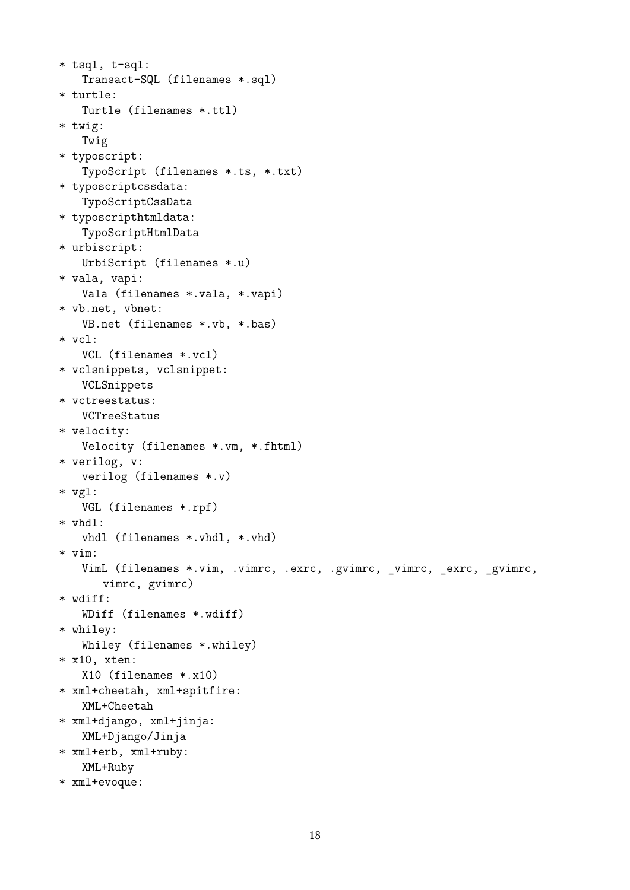```
* tsql, t-sql:
   Transact-SQL (filenames *.sql)
* turtle:
   Turtle (filenames *.ttl)
* twig:
   Twig
* typoscript:
   TypoScript (filenames *.ts, *.txt)
* typoscriptcssdata:
   TypoScriptCssData
* typoscripthtmldata:
   TypoScriptHtmlData
* urbiscript:
   UrbiScript (filenames *.u)
* vala, vapi:
   Vala (filenames *.vala, *.vapi)
* vb.net, vbnet:
   VB.net (filenames *.vb, *.bas)
* vcl:
   VCL (filenames *.vcl)
* vclsnippets, vclsnippet:
   VCLSnippets
* vctreestatus:
   VCTreeStatus
* velocity:
   Velocity (filenames *.vm, *.fhtml)
* verilog, v:
   verilog (filenames *.v)
* vgl:
   VGL (filenames *.rpf)
* vhdl:
   vhdl (filenames *.vhdl, *.vhd)
* vim:
   VimL (filenames *.vim, .vimrc, .exrc, .gvimrc, _vimrc, _exrc, _gvimrc,
      vimrc, gvimrc)
* wdiff:
   WDiff (filenames *.wdiff)
* whiley:
   Whiley (filenames *.whiley)
* x10, xten:
   X10 (filenames *.x10)
* xml+cheetah, xml+spitfire:
   XML+Cheetah
* xml+django, xml+jinja:
   XML+Django/Jinja
* xml+erb, xml+ruby:
   XML+Ruby
* xml+evoque:
```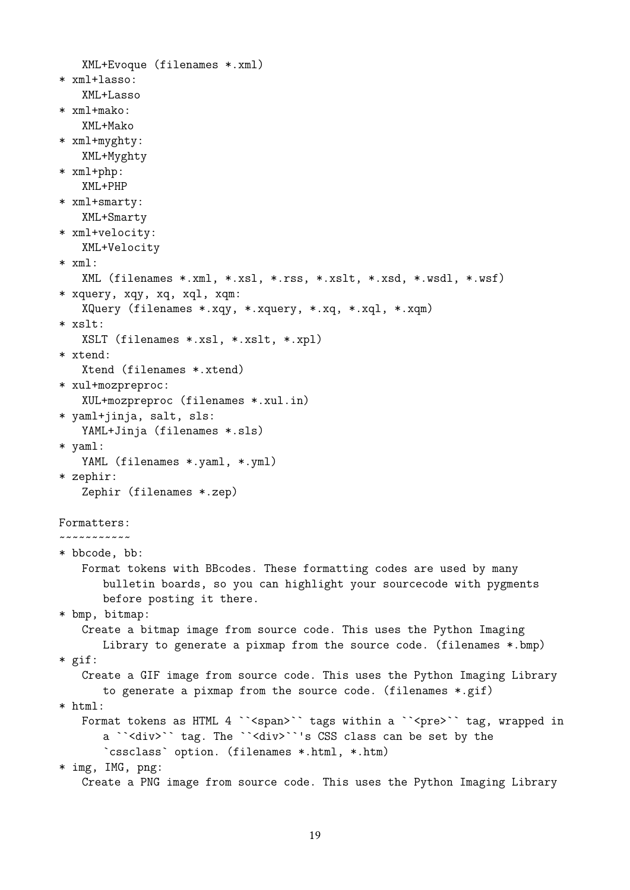```
XML+Evoque (filenames *.xml)
* xml+lasso:
   XML+Lasso
* xml+mako:
   XML+Mako
* xml+myghty:
   XML+Myghty
* xml+php:
   XML+PHP
* xml+smarty:
   XML+Smarty
* xml+velocity:
   XML+Velocity
* xml:
   XML (filenames *.xml, *.xsl, *.rss, *.xslt, *.xsd, *.wsdl, *.wsf)
* xquery, xqy, xq, xql, xqm:
   XQuery (filenames *.xqy, *.xquery, *.xq, *.xql, *.xqm)
* xslt:
   XSLT (filenames *.xsl, *.xslt, *.xpl)
* xtend:
   Xtend (filenames *.xtend)
* xul+mozpreproc:
   XUL+mozpreproc (filenames *.xul.in)
* yaml+jinja, salt, sls:
   YAML+Jinja (filenames *.sls)
* yaml:
   YAML (filenames *.yaml, *.yml)
* zephir:
   Zephir (filenames *.zep)
Formatters:
~~~~~~~~~~~
* bbcode, bb:
   Format tokens with BBcodes. These formatting codes are used by many
      bulletin boards, so you can highlight your sourcecode with pygments
      before posting it there.
* bmp, bitmap:
   Create a bitmap image from source code. This uses the Python Imaging
      Library to generate a pixmap from the source code. (filenames *.bmp)
* gif:
   Create a GIF image from source code. This uses the Python Imaging Library
      to generate a pixmap from the source code. (filenames *.gif)
* html:
   Format tokens as HTML 4 ``<span>`` tags within a ``<pre>`` tag, wrapped in
      a ``<div>`` tag. The ``<div>``'s CSS class can be set by the
       `cssclass` option. (filenames *.html, *.htm)
* img, IMG, png:
   Create a PNG image from source code. This uses the Python Imaging Library
```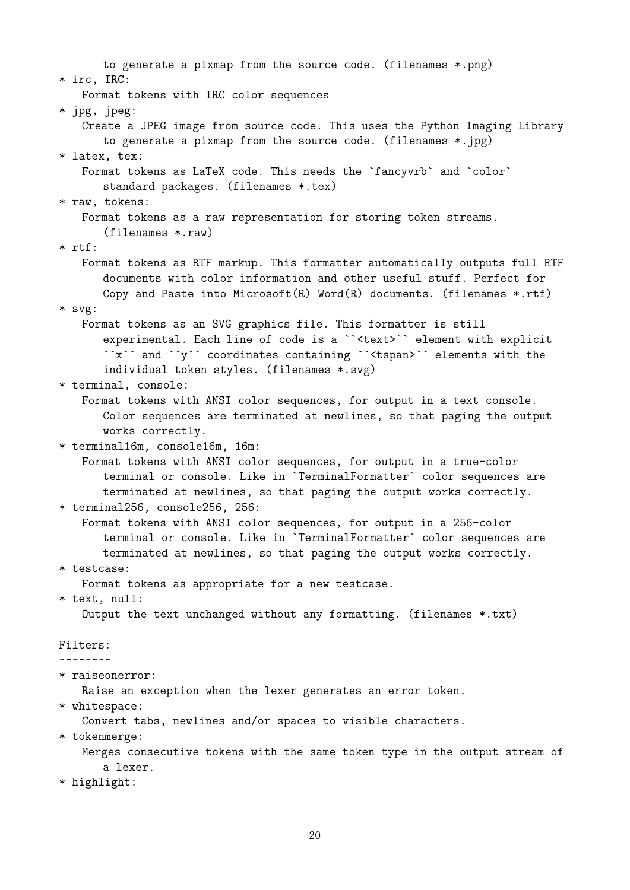to generate a pixmap from the source code. (filenames \*.png) \* irc, IRC: Format tokens with IRC color sequences \* jpg, jpeg: Create a JPEG image from source code. This uses the Python Imaging Library to generate a pixmap from the source code. (filenames \*.jpg) \* latex, tex: Format tokens as LaTeX code. This needs the `fancyvrb` and `color` standard packages. (filenames \*.tex) \* raw, tokens: Format tokens as a raw representation for storing token streams. (filenames \*.raw) \* rtf: Format tokens as RTF markup. This formatter automatically outputs full RTF documents with color information and other useful stuff. Perfect for Copy and Paste into Microsoft $(R)$  Word $(R)$  documents. (filenames \*.rtf) \* svg: Format tokens as an SVG graphics file. This formatter is still experimental. Each line of code is a ``<text>`` element with explicit ``x`` and ``y`` coordinates containing ``<tspan>`` elements with the individual token styles. (filenames \*.svg) \* terminal, console: Format tokens with ANSI color sequences, for output in a text console. Color sequences are terminated at newlines, so that paging the output works correctly. \* terminal16m, console16m, 16m: Format tokens with ANSI color sequences, for output in a true-color terminal or console. Like in `TerminalFormatter` color sequences are terminated at newlines, so that paging the output works correctly. \* terminal256, console256, 256: Format tokens with ANSI color sequences, for output in a 256-color terminal or console. Like in `TerminalFormatter` color sequences are terminated at newlines, so that paging the output works correctly. \* testcase: Format tokens as appropriate for a new testcase. \* text, null: Output the text unchanged without any formatting. (filenames \*.txt) Filters: ~~~~~~~~ \* raiseonerror: Raise an exception when the lexer generates an error token. \* whitespace: Convert tabs, newlines and/or spaces to visible characters. \* tokenmerge: Merges consecutive tokens with the same token type in the output stream of a lexer. \* highlight: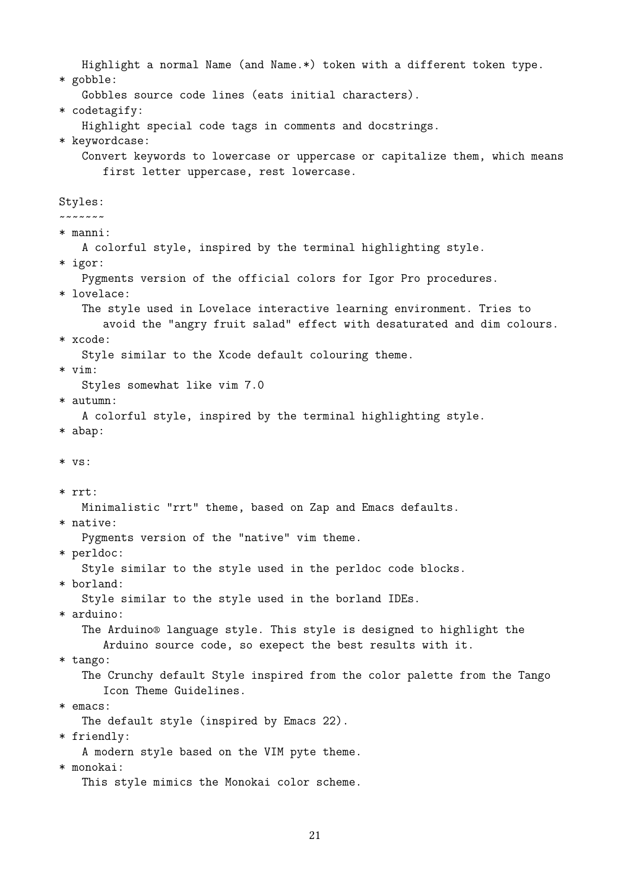Highlight a normal Name (and Name.\*) token with a different token type. \* gobble: Gobbles source code lines (eats initial characters). \* codetagify: Highlight special code tags in comments and docstrings. \* keywordcase: Convert keywords to lowercase or uppercase or capitalize them, which means first letter uppercase, rest lowercase. Styles: ~~~~~~~ \* manni: A colorful style, inspired by the terminal highlighting style. \* igor: Pygments version of the official colors for Igor Pro procedures. \* lovelace: The style used in Lovelace interactive learning environment. Tries to avoid the "angry fruit salad" effect with desaturated and dim colours. \* xcode: Style similar to the Xcode default colouring theme. \* vim: Styles somewhat like vim 7.0 \* autumn: A colorful style, inspired by the terminal highlighting style. \* abap: \* vs: \* rrt: Minimalistic "rrt" theme, based on Zap and Emacs defaults. \* native: Pygments version of the "native" vim theme. \* perldoc: Style similar to the style used in the perldoc code blocks. \* borland: Style similar to the style used in the borland IDEs. \* arduino: The Arduino® language style. This style is designed to highlight the Arduino source code, so exepect the best results with it. \* tango: The Crunchy default Style inspired from the color palette from the Tango Icon Theme Guidelines. \* emacs: The default style (inspired by Emacs 22). \* friendly: A modern style based on the VIM pyte theme. \* monokai: This style mimics the Monokai color scheme.